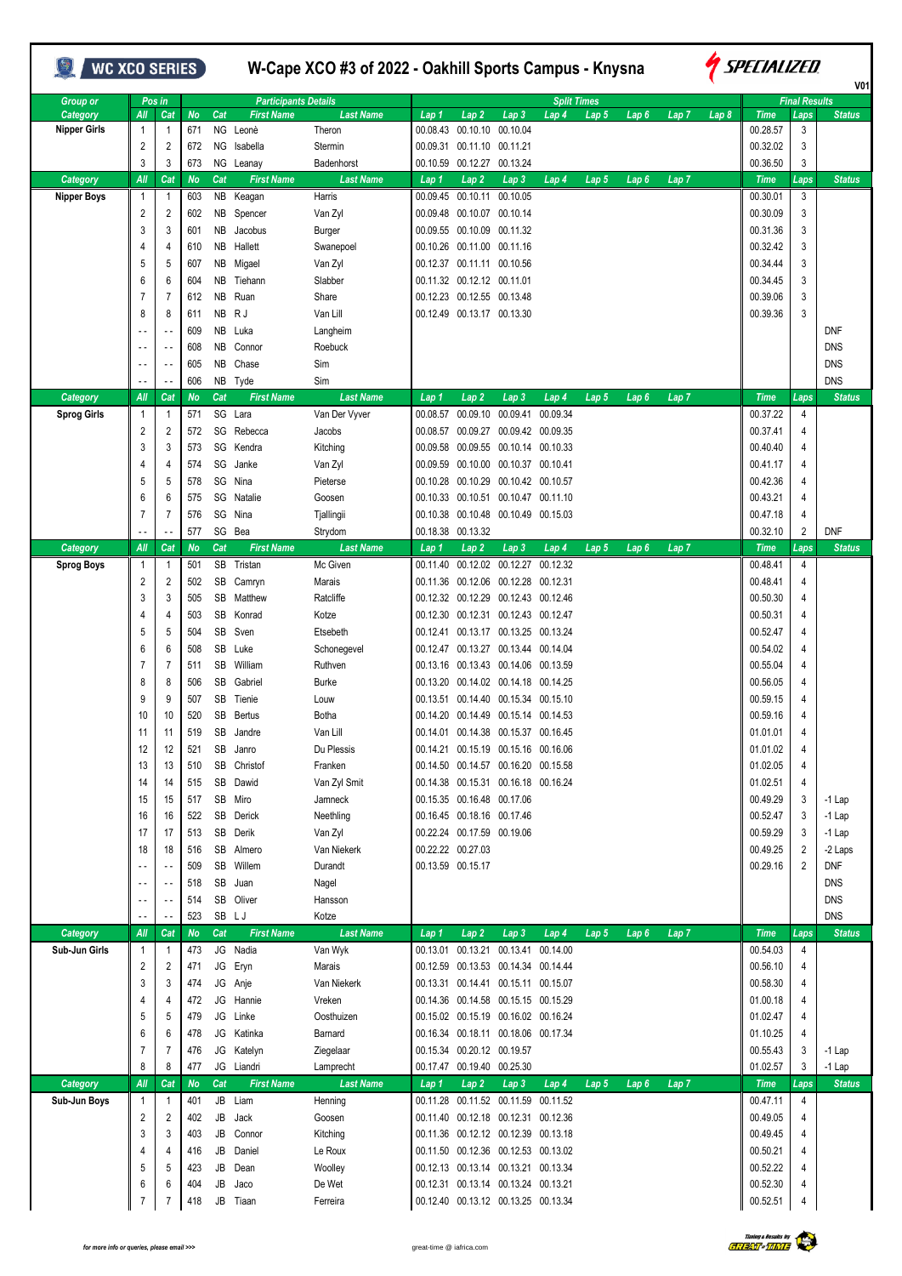| <b>WC XCO SERIES</b>            |                          |                       |                  |          |                               |                     |                   | W-Cape XCO #3 of 2022 - Oakhill Sports Campus - Knysna |                                       |                                     |                  |                  |                  |       | <i><b>SPECIALIZED</b></i><br>V <sub>0</sub> 1 |                      |               |  |  |  |
|---------------------------------|--------------------------|-----------------------|------------------|----------|-------------------------------|---------------------|-------------------|--------------------------------------------------------|---------------------------------------|-------------------------------------|------------------|------------------|------------------|-------|-----------------------------------------------|----------------------|---------------|--|--|--|
| <b>Group or</b>                 |                          | Pos in                |                  |          | <b>Participants Details</b>   |                     |                   |                                                        |                                       | <b>Split Times</b>                  |                  |                  |                  |       |                                               | <b>Final Results</b> |               |  |  |  |
| Category<br><b>Nipper Girls</b> | Аll<br>1                 | Cat<br>$\overline{1}$ | <b>No</b><br>671 | Cat      | <b>First Name</b><br>NG Leonè | Last Name<br>Theron | Lap 1<br>00.08.43 | Lap 2                                                  | Lap <sub>3</sub><br>00.10.10 00.10.04 | Lap 4                               | Lap 5            | Lap <sub>6</sub> | Lap <sub>7</sub> | Lap 8 | <b>Time</b><br>00.28.57                       | Laps<br>3            | <b>Status</b> |  |  |  |
|                                 | 2                        | 2                     | 672              | ΝG       | Isabella                      | Stermin             |                   | 00.09.31 00.11.10 00.11.21                             |                                       |                                     |                  |                  |                  |       | 00.32.02                                      | 3                    |               |  |  |  |
|                                 | 3                        | 3                     | 673              |          | NG Leanay                     | Badenhorst          | 00.10.59          | 00.12.27                                               | 00.13.24                              |                                     |                  |                  |                  |       | 00.36.50                                      | 3                    |               |  |  |  |
| Category                        | All                      | Cat                   | <b>No</b>        | Cat      | <b>First Name</b>             | <b>Last Name</b>    | Lap 1             | Lap 2                                                  | Lap <sub>3</sub>                      | Lap <sub>4</sub>                    | Lap <sub>5</sub> | Lap <sub>6</sub> | Lap 7            |       | <b>Time</b>                                   | Laps                 | <b>Status</b> |  |  |  |
| <b>Nipper Boys</b>              | -1                       | $\overline{1}$        | 603              | NB       | Keagan                        | Harris              |                   | 00.09.45 00.10.11                                      | 00.10.05                              |                                     |                  |                  |                  |       | 00.30.01                                      | 3                    |               |  |  |  |
|                                 | 2                        | 2                     | 602              |          | NB Spencer                    | Van Zyl             |                   | 00.09.48 00.10.07 00.10.14                             |                                       |                                     |                  |                  |                  |       | 00.30.09                                      | 3                    |               |  |  |  |
|                                 | 3                        | 3                     | 601              | ΝB       | Jacobus                       | Burger              |                   | 00.09.55 00.10.09 00.11.32                             |                                       |                                     |                  |                  |                  |       | 00.31.36                                      | 3                    |               |  |  |  |
|                                 | 4                        | 4                     | 610              | NB.      | Hallett                       | Swanepoel           |                   | 00.10.26 00.11.00 00.11.16                             |                                       |                                     |                  |                  |                  |       | 00.32.42                                      | 3                    |               |  |  |  |
|                                 | 5                        | 5                     | 607              | NB       | Migael                        | Van Zyl             |                   | 00.12.37 00.11.11 00.10.56                             |                                       |                                     |                  |                  |                  |       | 00.34.44                                      | 3                    |               |  |  |  |
|                                 | 6                        | 6                     | 604              | NB       | Tiehann                       | Slabber             |                   | 00.11.32 00.12.12 00.11.01                             |                                       |                                     |                  |                  |                  |       | 00.34.45                                      | 3                    |               |  |  |  |
|                                 | 7                        | 7                     | 612              | NB       | Ruan                          | Share               |                   | 00.12.23 00.12.55 00.13.48                             |                                       |                                     |                  |                  |                  |       | 00.39.06                                      | 3                    |               |  |  |  |
|                                 | 8                        | 8                     | 611              |          | NB RJ                         | Van Lill            |                   | 00.12.49 00.13.17 00.13.30                             |                                       |                                     |                  |                  |                  |       | 00.39.36                                      | 3                    |               |  |  |  |
|                                 |                          | $\sim$ $\sim$         | 609              |          | NB Luka                       | Langheim            |                   |                                                        |                                       |                                     |                  |                  |                  |       |                                               |                      | <b>DNF</b>    |  |  |  |
|                                 |                          | $\sim$ $\sim$         | 608              | NB.      | Connor                        | Roebuck             |                   |                                                        |                                       |                                     |                  |                  |                  |       |                                               |                      | <b>DNS</b>    |  |  |  |
|                                 | $\sim$ $\sim$            | $\sim$ $-$            | 605              | NB       | Chase                         | Sim                 |                   |                                                        |                                       |                                     |                  |                  |                  |       |                                               |                      | <b>DNS</b>    |  |  |  |
|                                 | $\overline{\phantom{a}}$ | $\sim$ $\sim$         | 606              |          | NB Tyde                       | Sim                 |                   |                                                        |                                       |                                     |                  |                  |                  |       |                                               |                      | <b>DNS</b>    |  |  |  |
| Category                        | All                      | Cat                   | <b>No</b>        | Cat      | <b>First Name</b>             | <b>Last Name</b>    | Lap 1             | Lap <sub>2</sub>                                       | Lap <sub>3</sub>                      | Lap 4                               | Lap <sub>5</sub> | Lap <sub>6</sub> | Lap <sub>7</sub> |       | <b>Time</b>                                   | Laps                 | <b>Status</b> |  |  |  |
| <b>Sprog Girls</b>              | -1                       | $\overline{1}$        | 571              |          | SG Lara                       | Van Der Vyver       | 00.08.57          | 00.09.10                                               | 00.09.41                              | 00.09.34                            |                  |                  |                  |       | 00.37.22                                      | 4                    |               |  |  |  |
|                                 | $\overline{2}$           | 2                     | 572              |          | SG Rebecca                    | Jacobs              | 00.08.57          |                                                        | 00.09.27 00.09.42 00.09.35            |                                     |                  |                  |                  |       | 00.37.41                                      | 4                    |               |  |  |  |
|                                 | 3                        | 3                     | 573              | SG       | Kendra                        | Kitching            | 00.09.58          | 00.09.55                                               | 00.10.14 00.10.33                     |                                     |                  |                  |                  |       | 00.40.40                                      | 4                    |               |  |  |  |
|                                 | 4                        | 4                     | 574              | SG       | Janke                         | Van Zyl             | 00.09.59          | 00.10.00                                               | 00.10.37 00.10.41                     |                                     |                  |                  |                  |       | 00.41.17                                      | 4                    |               |  |  |  |
|                                 | 5                        | 5                     | 578              | SG       | Nina                          | Pieterse            |                   | 00.10.28 00.10.29 00.10.42 00.10.57                    |                                       |                                     |                  |                  |                  |       | 00.42.36                                      | 4                    |               |  |  |  |
|                                 | 6                        | 6                     | 575              | SG       | Natalie                       | Goosen              |                   | 00.10.33 00.10.51                                      | 00.10.47                              | 00.11.10                            |                  |                  |                  |       | 00.43.21                                      | 4                    |               |  |  |  |
|                                 | 7                        | 7                     | 576              | SG       | Nina                          | Tjallingii          |                   | 00.10.38 00.10.48 00.10.49 00.15.03                    |                                       |                                     |                  |                  |                  |       | 00.47.18                                      | 4                    |               |  |  |  |
|                                 | - -                      |                       | 577              |          | SG Bea                        | Strydom             |                   | 00.18.38 00.13.32                                      |                                       |                                     |                  |                  |                  |       | 00.32.10                                      | 2                    | <b>DNF</b>    |  |  |  |
| Category                        | All                      | Cat                   | <b>No</b>        | Cat      | <b>First Name</b>             | <b>Last Name</b>    | Lap 1             | Lap 2                                                  | Lap <sub>3</sub>                      | Lap <sub>4</sub>                    | Lap 5            | Lap <sub>6</sub> | Lap <sub>7</sub> |       | <b>Time</b>                                   | Laps                 | <b>Status</b> |  |  |  |
| <b>Sprog Boys</b>               | -1                       | $\overline{1}$        | 501              | SB       | Tristan                       | Mc Given            | 00.11.40          | 00.12.02                                               | 00.12.27                              | 00.12.32                            |                  |                  |                  |       | 00.48.41                                      | 4                    |               |  |  |  |
|                                 | 2                        | 2                     | 502              | SB       | Camryn                        | Marais              |                   | 00.11.36 00.12.06 00.12.28 00.12.31                    |                                       |                                     |                  |                  |                  |       | 00.48.41                                      | 4                    |               |  |  |  |
|                                 | 3<br>4                   | 3                     | 505              | SB<br>SB | Matthew<br>Konrad             | Ratcliffe           |                   | 00.12.32 00.12.29 00.12.43 00.12.46                    |                                       |                                     |                  |                  |                  |       | 00.50.30<br>00.50.31                          | 4<br>4               |               |  |  |  |
|                                 | 5                        | 4<br>5                | 503<br>504       | SB       | Sven                          | Kotze<br>Etsebeth   | 00.12.30          | 00.12.41 00.13.17 00.13.25 00.13.24                    | 00.12.31 00.12.43 00.12.47            |                                     |                  |                  |                  |       | 00.52.47                                      | 4                    |               |  |  |  |
|                                 | 6                        | 6                     | 508              | SB       | Luke                          | Schonegevel         |                   | 00.12.47 00.13.27 00.13.44 00.14.04                    |                                       |                                     |                  |                  |                  |       | 00.54.02                                      | 4                    |               |  |  |  |
|                                 | 7                        | 7                     | 511              | SB       | William                       | Ruthven             |                   | 00.13.16 00.13.43 00.14.06 00.13.59                    |                                       |                                     |                  |                  |                  |       | 00.55.04                                      | 4                    |               |  |  |  |
|                                 | 8                        | 8                     | 506              | SB       | Gabriel                       | <b>Burke</b>        | 00.13.20          |                                                        | 00.14.02 00.14.18 00.14.25            |                                     |                  |                  |                  |       | 00.56.05                                      | 4                    |               |  |  |  |
|                                 | 9                        | 9                     | 507              | SB       | Tienie                        | Louw                | 00.13.51          |                                                        | 00.14.40 00.15.34                     | 00.15.10                            |                  |                  |                  |       | 00.59.15                                      | 4                    |               |  |  |  |
|                                 | 10                       | 10                    | 520              | SB       | <b>Bertus</b>                 | <b>Botha</b>        |                   | 00.14.20 00.14.49 00.15.14 00.14.53                    |                                       |                                     |                  |                  |                  |       | 00.59.16                                      | 4                    |               |  |  |  |
|                                 | 11                       | 11                    | 519              | SB       | Jandre                        | Van Lill            |                   | 00.14.01 00.14.38 00.15.37 00.16.45                    |                                       |                                     |                  |                  |                  |       | 01.01.01                                      | 4                    |               |  |  |  |
|                                 | 12                       | 12                    | 521              | SB       | Janro                         | Du Plessis          |                   | 00.14.21 00.15.19 00.15.16 00.16.06                    |                                       |                                     |                  |                  |                  |       | 01.01.02                                      | 4                    |               |  |  |  |
|                                 | 13                       | 13                    | 510              | SB       | Christof                      | Franken             |                   | 00.14.50 00.14.57 00.16.20 00.15.58                    |                                       |                                     |                  |                  |                  |       | 01.02.05                                      | 4                    |               |  |  |  |
|                                 | 14                       | 14                    | 515              | SB       | Dawid                         | Van Zyl Smit        |                   | 00.14.38 00.15.31 00.16.18 00.16.24                    |                                       |                                     |                  |                  |                  |       | 01.02.51                                      | 4                    |               |  |  |  |
|                                 | 15                       | 15                    | 517              |          | SB Miro                       | Jamneck             |                   | 00.15.35 00.16.48 00.17.06                             |                                       |                                     |                  |                  |                  |       | 00.49.29                                      | 3                    | $-1$ Lap      |  |  |  |
|                                 | 16                       | 16                    | 522              | SB       | Derick                        | Neethling           |                   | 00.16.45 00.18.16 00.17.46                             |                                       |                                     |                  |                  |                  |       | 00.52.47                                      | 3                    | $-1$ Lap      |  |  |  |
|                                 | 17                       | 17                    | 513              | SB       | Derik                         | Van Zyl             |                   | 00.22.24 00.17.59 00.19.06                             |                                       |                                     |                  |                  |                  |       | 00.59.29                                      | 3                    | $-1$ Lap      |  |  |  |
|                                 | 18                       | 18                    | 516              |          | SB Almero                     | Van Niekerk         |                   | 00.22.22 00.27.03                                      |                                       |                                     |                  |                  |                  |       | 00.49.25                                      | $\overline{2}$       | -2 Laps       |  |  |  |
|                                 | - -                      | $\sim$ $\sim$         | 509              |          | SB Willem                     | Durandt             |                   | 00.13.59 00.15.17                                      |                                       |                                     |                  |                  |                  |       | 00.29.16                                      | 2                    | <b>DNF</b>    |  |  |  |
|                                 |                          | $\sim$ $\sim$         | 518              | SB       | Juan                          | Nagel               |                   |                                                        |                                       |                                     |                  |                  |                  |       |                                               |                      | <b>DNS</b>    |  |  |  |
|                                 | - -                      | $\sim$ $\sim$         | 514              |          | SB Oliver                     | Hansson             |                   |                                                        |                                       |                                     |                  |                  |                  |       |                                               |                      | <b>DNS</b>    |  |  |  |
|                                 |                          | $\sim$ $\sim$         | 523              |          | SB LJ                         | Kotze               |                   |                                                        |                                       |                                     |                  |                  |                  |       |                                               |                      | <b>DNS</b>    |  |  |  |
| Category                        | All                      | Cat                   | <b>No</b>        | Cat      | <b>First Name</b>             | <b>Last Name</b>    | Lap 1             | Lap <sub>2</sub>                                       | Lap <sub>3</sub>                      | Lap 4                               | Lap 5            | Lap <sub>6</sub> | Lap <sub>7</sub> |       | <b>Time</b>                                   | Laps                 | <b>Status</b> |  |  |  |
| Sub-Jun Girls                   | 1                        | $\overline{1}$        | 473              |          | JG Nadia                      | Van Wyk             |                   | 00.13.01 00.13.21 00.13.41                             |                                       | 00.14.00                            |                  |                  |                  |       | 00.54.03                                      | 4                    |               |  |  |  |
|                                 | $\overline{2}$           | 2                     | 471              |          | JG Eryn                       | Marais              |                   | 00.12.59 00.13.53 00.14.34 00.14.44                    |                                       |                                     |                  |                  |                  |       | 00.56.10                                      | 4                    |               |  |  |  |
|                                 | 3                        | 3                     | 474              |          | JG Anje                       | Van Niekerk         |                   | 00.13.31 00.14.41 00.15.11 00.15.07                    |                                       |                                     |                  |                  |                  |       | 00.58.30                                      | 4                    |               |  |  |  |
|                                 | 4                        | 4                     | 472              |          | JG Hannie                     | Vreken              |                   | 00.14.36 00.14.58 00.15.15 00.15.29                    |                                       |                                     |                  |                  |                  |       | 01.00.18                                      | 4                    |               |  |  |  |
|                                 | 5                        | 5                     | 479              |          | JG Linke                      | Oosthuizen          |                   | 00.15.02 00.15.19 00.16.02 00.16.24                    |                                       |                                     |                  |                  |                  |       | 01.02.47                                      | 4                    |               |  |  |  |
|                                 | 6                        | 6                     | 478              |          | JG Katinka                    | Barnard             |                   | 00.16.34 00.18.11 00.18.06 00.17.34                    |                                       |                                     |                  |                  |                  |       | 01.10.25                                      | 4                    |               |  |  |  |
|                                 | 7                        | $\overline{7}$        | 476              |          | JG Katelyn                    | Ziegelaar           |                   | 00.15.34 00.20.12 00.19.57                             |                                       |                                     |                  |                  |                  |       | 00.55.43                                      | 3                    | $-1$ Lap      |  |  |  |
|                                 | 8                        | 8                     | 477              |          | JG Liandri                    | Lamprecht           |                   | 00.17.47 00.19.40 00.25.30                             |                                       |                                     |                  |                  |                  |       | 01.02.57                                      | 3                    | $-1$ Lap      |  |  |  |
| Category                        | All                      | Cat                   | <b>No</b>        | Cat      | <b>First Name</b>             | <b>Last Name</b>    | Lap 1             | Lap <sub>2</sub>                                       | Lap 3                                 | Lap 4                               | Lap 5            | Lap <sub>6</sub> | Lap <sub>7</sub> |       | <b>Time</b>                                   | Laps                 | <b>Status</b> |  |  |  |
| Sub-Jun Boys                    | 1                        | $\overline{1}$        | 401              |          | JB Liam                       | Henning             |                   |                                                        |                                       | 00.11.28 00.11.52 00.11.59 00.11.52 |                  |                  |                  |       | 00.47.11                                      | $\overline{4}$       |               |  |  |  |
|                                 | $\overline{c}$           | 2                     | 402              | JB       | Jack                          | Goosen              |                   | 00.11.40 00.12.18 00.12.31 00.12.36                    |                                       |                                     |                  |                  |                  |       | 00.49.05                                      | 4                    |               |  |  |  |
|                                 | 3                        | 3                     | 403              | JB       | Connor                        | Kitching            |                   | 00.11.36 00.12.12 00.12.39 00.13.18                    |                                       |                                     |                  |                  |                  |       | 00.49.45                                      | 4                    |               |  |  |  |
|                                 | 4                        | 4                     | 416              | JB       | Daniel                        | Le Roux             |                   | 00.11.50 00.12.36 00.12.53 00.13.02                    |                                       |                                     |                  |                  |                  |       | 00.50.21                                      | 4                    |               |  |  |  |
|                                 | 5                        | 5                     | 423              | JB       | Dean                          | Woolley             |                   | 00.12.13 00.13.14 00.13.21 00.13.34                    |                                       |                                     |                  |                  |                  |       | 00.52.22                                      | 4                    |               |  |  |  |
|                                 | 6                        | 6                     | 404              | JB       | Jaco                          | De Wet              |                   | 00.12.31 00.13.14 00.13.24 00.13.21                    |                                       |                                     |                  |                  |                  |       | 00.52.30                                      | 4                    |               |  |  |  |
|                                 | $\overline{7}$           |                       | 418              |          | JB Tiaan                      | Ferreira            |                   | 00.12.40 00.13.12 00.13.25 00.13.34                    |                                       |                                     |                  |                  |                  |       | 00.52.51                                      | 4                    |               |  |  |  |
|                                 |                          |                       |                  |          |                               |                     |                   |                                                        |                                       |                                     |                  |                  |                  |       |                                               |                      |               |  |  |  |

T

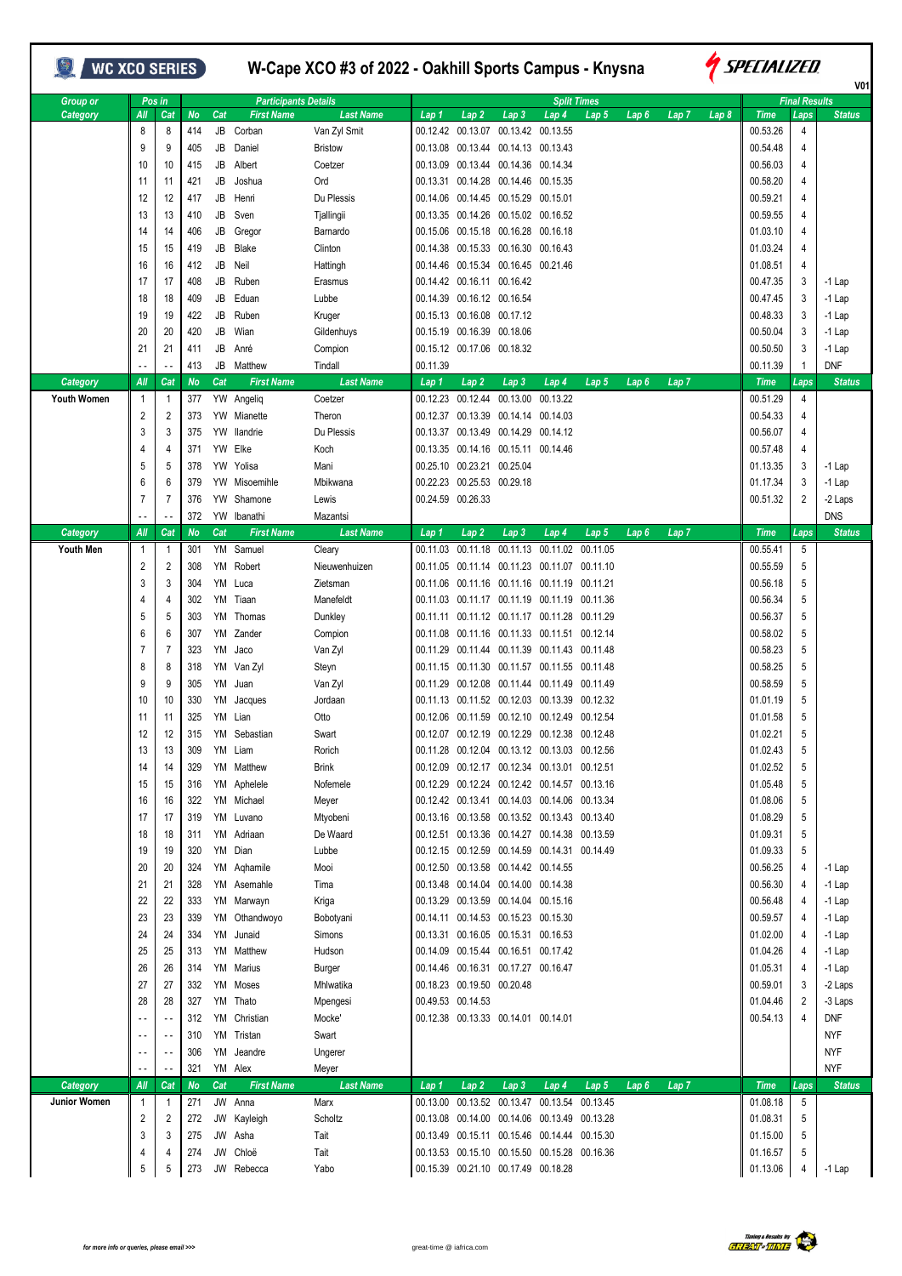| <b>WC XCO SERIES</b>           |                          |                          |                  |           |                                 | W-Cape XCO #3 of 2022 - Oakhill Sports Campus - Knysna |                      |                              |                                                                            |                                                                   | <i><b>Y</b> Specialized</i><br>V <sub>01</sub> |                  |                  |                  |                         |                      |                      |
|--------------------------------|--------------------------|--------------------------|------------------|-----------|---------------------------------|--------------------------------------------------------|----------------------|------------------------------|----------------------------------------------------------------------------|-------------------------------------------------------------------|------------------------------------------------|------------------|------------------|------------------|-------------------------|----------------------|----------------------|
| <b>Group or</b>                |                          | Pos in                   |                  |           | <b>Participants Details</b>     |                                                        |                      |                              |                                                                            | <b>Split Times</b>                                                |                                                |                  |                  |                  |                         | <b>Final Results</b> |                      |
| Category                       | All<br>8                 | Cat<br>8                 | <b>No</b><br>414 | Cat<br>JB | <b>First Name</b><br>Corban     | <b>Last Name</b><br>Van Zyl Smit                       | Lap 1<br>00.12.42    | Lap2                         | Lap <sub>3</sub><br>00.13.07 00.13.42 00.13.55                             | Lap 4                                                             | Lap 5                                          | Lap <sub>6</sub> | Lap <sub>7</sub> | Lap <sub>8</sub> | <b>Time</b><br>00.53.26 | Laps<br>4            | <b>Status</b>        |
|                                | 9                        | 9                        | 405              | JB        | Daniel                          | <b>Bristow</b>                                         | 00.13.08             |                              | 00.13.44 00.14.13 00.13.43                                                 |                                                                   |                                                |                  |                  |                  | 00.54.48                | 4                    |                      |
|                                | 10                       | 10                       | 415              | JB        | Albert                          | Coetzer                                                | 00.13.09             |                              | 00.13.44 00.14.36 00.14.34                                                 |                                                                   |                                                |                  |                  |                  | 00.56.03                | 4                    |                      |
|                                | 11                       | -11                      | 421              | JB        | Joshua                          | Ord                                                    | 00.13.31             |                              | 00.14.28 00.14.46 00.15.35                                                 |                                                                   |                                                |                  |                  |                  | 00.58.20                | 4                    |                      |
|                                | 12                       | 12                       | 417              | JB        | Henri                           | Du Plessis                                             | 00.14.06             |                              | 00.14.45 00.15.29 00.15.01                                                 |                                                                   |                                                |                  |                  |                  | 00.59.21                | 4                    |                      |
|                                | 13                       | 13                       | 410              | JB        | Sven                            | Tjallingii                                             |                      |                              | 00.13.35 00.14.26 00.15.02 00.16.52                                        |                                                                   |                                                |                  |                  |                  | 00.59.55                | 4                    |                      |
|                                | 14                       | 14                       | 406              | JB        | Gregor                          | Barnardo                                               | 00.15.06             |                              | 00.15.18 00.16.28 00.16.18                                                 |                                                                   |                                                |                  |                  |                  | 01.03.10                | 4                    |                      |
|                                | 15                       | 15                       | 419              | JB        | <b>Blake</b>                    | Clinton                                                | 00.14.38             |                              | 00.15.33 00.16.30 00.16.43                                                 |                                                                   |                                                |                  |                  |                  | 01.03.24                | 4                    |                      |
|                                | 16                       | 16                       | 412              | JB        | Neil                            | Hattingh                                               | 00.14.46             |                              | 00.15.34 00.16.45 00.21.46                                                 |                                                                   |                                                |                  |                  |                  | 01.08.51                | 4                    |                      |
|                                | 17                       | 17                       | 408              | JB        | Ruben                           | Erasmus                                                | 00.14.42             |                              | 00.16.11 00.16.42                                                          |                                                                   |                                                |                  |                  |                  | 00.47.35                | 3                    | $-1$ Lap             |
|                                | 18                       | 18                       | 409              | JB        | Eduan                           | Lubbe                                                  | 00.14.39             |                              | 00.16.12 00.16.54                                                          |                                                                   |                                                |                  |                  |                  | 00.47.45                | 3                    | $-1$ Lap             |
|                                | 19                       | 19                       | 422              | JB        | Ruben                           | Kruger                                                 |                      | 00.15.13 00.16.08 00.17.12   |                                                                            |                                                                   |                                                |                  |                  |                  | 00.48.33                | 3                    | $-1$ Lap             |
|                                | 20                       | 20                       | 420              | JB        | Wian                            | Gildenhuys                                             | 00.15.19             |                              | 00.16.39 00.18.06                                                          |                                                                   |                                                |                  |                  |                  | 00.50.04                | 3                    | $-1$ Lap             |
|                                | 21                       | 21                       | 411              | JB        | Anré                            | Compion                                                |                      | 00.15.12 00.17.06 00.18.32   |                                                                            |                                                                   |                                                |                  |                  |                  | 00.50.50                | 3                    | $-1$ Lap             |
|                                |                          | $\sim$ $\sim$            | 413              | JB        | Matthew                         | Tindall                                                | 00.11.39             |                              |                                                                            |                                                                   |                                                |                  |                  |                  | 00.11.39                |                      | <b>DNF</b>           |
| Category<br><b>Youth Women</b> | All<br>$\overline{1}$    | Cat<br>-1                | <b>No</b>        | Cat       | <b>First Name</b><br>YW Angeliq | <b>Last Name</b><br>Coetzer                            | Lap 1<br>00.12.23    | Lap <sub>2</sub><br>00.12.44 | Lap <sub>3</sub><br>00.13.00                                               | Lap 4<br>00.13.22                                                 | Lap <sub>5</sub>                               | Lap <sub>6</sub> | Lap <sub>7</sub> |                  | <b>Time</b><br>00.51.29 | Laps<br>4            | <b>Status</b>        |
|                                | $\overline{c}$           | $\overline{2}$           | 377<br>373       |           | YW Mianette                     | Theron                                                 | 00.12.37             |                              | 00.13.39 00.14.14 00.14.03                                                 |                                                                   |                                                |                  |                  |                  | 00.54.33                | 4                    |                      |
|                                | 3                        | 3                        | 375              | YW        | llandrie                        | Du Plessis                                             | 00.13.37             |                              | 00.13.49 00.14.29 00.14.12                                                 |                                                                   |                                                |                  |                  |                  | 00.56.07                | 4                    |                      |
|                                | 4                        | 4                        | 371              | YW        | Elke                            | Koch                                                   | 00.13.35             |                              | 00.14.16 00.15.11 00.14.46                                                 |                                                                   |                                                |                  |                  |                  | 00.57.48                | 4                    |                      |
|                                | 5                        | 5                        | 378              | YW        | Yolisa                          | Mani                                                   | 00.25.10             |                              | 00.23.21 00.25.04                                                          |                                                                   |                                                |                  |                  |                  | 01.13.35                | 3                    | $-1$ Lap             |
|                                | 6                        | 6                        | 379              | YW        | Misoemihle                      | Mbikwana                                               | 00.22.23             |                              | 00.25.53 00.29.18                                                          |                                                                   |                                                |                  |                  |                  | 01.17.34                | 3                    | $-1$ Lap             |
|                                | 7                        | 7                        | 376              | YW        | Shamone                         | Lewis                                                  |                      | 00.24.59 00.26.33            |                                                                            |                                                                   |                                                |                  |                  |                  | 00.51.32                | 2                    | -2 Laps              |
|                                |                          | $\overline{\phantom{a}}$ | 372              |           | YW Ibanathi                     | Mazantsi                                               |                      |                              |                                                                            |                                                                   |                                                |                  |                  |                  |                         |                      | <b>DNS</b>           |
| Category                       | All                      | Cat                      | No               | Cat       | <b>First Name</b>               | <b>Last Name</b>                                       | Lap <sub>1</sub>     | Lap 2                        | Lap <sub>3</sub>                                                           | Lap 4                                                             | Lap 5                                          | Lap <sub>6</sub> | Lap <sub>7</sub> |                  | <b>Time</b>             | Laps                 | <b>Status</b>        |
| <b>Youth Men</b>               | $\mathbf{1}$             | -1                       | 301              |           | YM Samuel                       | Cleary                                                 | 00.11.03             |                              |                                                                            | 00.11.18 00.11.13 00.11.02 00.11.05                               |                                                |                  |                  |                  | 00.55.41                | 5                    |                      |
|                                | 2                        | $\overline{2}$           | 308              | YM        | Robert                          | Nieuwenhuizen                                          | 00.11.05             |                              |                                                                            | 00.11.14 00.11.23 00.11.07 00.11.10                               |                                                |                  |                  |                  | 00.55.59                | 5                    |                      |
|                                | 3                        | 3                        | 304              | YM        | Luca                            | Zietsman                                               | 00.11.06             |                              |                                                                            | 00.11.16 00.11.16 00.11.19                                        | 00.11.21                                       |                  |                  |                  | 00.56.18                | 5                    |                      |
|                                | 4                        | 4                        | 302              | YM        | Tiaan                           | Manefeldt                                              | 00.11.03             |                              |                                                                            | 00.11.17 00.11.19 00.11.19                                        | 00.11.36                                       |                  |                  |                  | 00.56.34                | 5                    |                      |
|                                | 5                        | 5                        | 303              | YM        | Thomas                          | Dunkley                                                | 00.11.11             |                              |                                                                            | 00.11.12 00.11.17 00.11.28 00.11.29                               |                                                |                  |                  |                  | 00.56.37                | 5                    |                      |
|                                | 6<br>7                   | 6<br>7                   | 307<br>323       | YM        | YM Zander<br>Jaco               | Compion                                                | 00.11.08<br>00.11.29 |                              |                                                                            | 00.11.16 00.11.33 00.11.51 00.12.14<br>00.11.44 00.11.39 00.11.43 | 00.11.48                                       |                  |                  |                  | 00.58.02<br>00.58.23    | 5<br>5               |                      |
|                                | 8                        | 8                        | 318              |           | YM Van Zyl                      | Van Zyl<br>Steyn                                       | 00.11.15             |                              |                                                                            | 00.11.30 00.11.57 00.11.55                                        | 00.11.48                                       |                  |                  |                  | 00.58.25                | 5                    |                      |
|                                | 9                        | 9                        | 305              | YM        | Juan                            | Van Zyl                                                | 00.11.29             |                              |                                                                            | 00.12.08 00.11.44 00.11.49                                        | 00.11.49                                       |                  |                  |                  | 00.58.59                | 5                    |                      |
|                                | 10                       | 10                       | 330              | YM        | Jacques                         | Jordaan                                                | 00.11.13             |                              |                                                                            | 00.11.52 00.12.03 00.13.39                                        | 00.12.32                                       |                  |                  |                  | 01.01.19                | 5                    |                      |
|                                | 11                       | 11                       | 325              |           | YM Lian                         | Otto                                                   |                      |                              |                                                                            | 00.12.06 00.11.59 00.12.10 00.12.49 00.12.54                      |                                                |                  |                  |                  | 01.01.58                | 5                    |                      |
|                                | 12                       | 12                       | 315              |           | YM Sebastian                    | Swart                                                  |                      |                              |                                                                            | 00.12.07 00.12.19 00.12.29 00.12.38 00.12.48                      |                                                |                  |                  |                  | 01.02.21                | 5                    |                      |
|                                | 13                       | 13                       | 309              |           | YM Liam                         | Rorich                                                 |                      |                              |                                                                            | 00.11.28 00.12.04 00.13.12 00.13.03 00.12.56                      |                                                |                  |                  |                  | 01.02.43                | 5                    |                      |
|                                | 14                       | 14                       | 329              |           | YM Matthew                      | <b>Brink</b>                                           |                      |                              |                                                                            | 00.12.09  00.12.17  00.12.34  00.13.01  00.12.51                  |                                                |                  |                  |                  | 01.02.52                | 5                    |                      |
|                                | 15                       | 15                       | 316              |           | YM Aphelele                     | Nofemele                                               |                      |                              |                                                                            | 00.12.29 00.12.24 00.12.42 00.14.57 00.13.16                      |                                                |                  |                  |                  | 01.05.48                | 5                    |                      |
|                                | 16                       | 16                       | 322              |           | YM Michael                      | Meyer                                                  |                      |                              |                                                                            | 00.12.42 00.13.41 00.14.03 00.14.06 00.13.34                      |                                                |                  |                  |                  | 01.08.06                | 5                    |                      |
|                                | 17                       | 17                       | 319              |           | YM Luvano                       | Mtyobeni                                               |                      |                              |                                                                            | 00.13.16 00.13.58 00.13.52 00.13.43 00.13.40                      |                                                |                  |                  |                  | 01.08.29                | 5                    |                      |
|                                | 18                       | 18                       | 311              |           | YM Adriaan                      | De Waard                                               |                      |                              |                                                                            | 00.12.51 00.13.36 00.14.27 00.14.38 00.13.59                      |                                                |                  |                  |                  | 01.09.31                | 5                    |                      |
|                                | 19                       | 19                       | 320              |           | YM Dian                         | Lubbe                                                  |                      |                              |                                                                            | 00.12.15 00.12.59 00.14.59 00.14.31 00.14.49                      |                                                |                  |                  |                  | 01.09.33                | 5                    |                      |
|                                | 20                       | 20                       | 324              |           | YM Aqhamile                     | Mooi<br>Tima                                           |                      |                              | 00.12.50 00.13.58 00.14.42 00.14.55                                        |                                                                   |                                                |                  |                  |                  | 00.56.25                | 4                    | $-1$ Lap             |
|                                | 21                       | 21                       | 328              |           | YM Asemahle                     |                                                        |                      |                              | 00.13.48 00.14.04 00.14.00 00.14.38                                        |                                                                   |                                                |                  |                  |                  | 00.56.30<br>00.56.48    |                      | $-1$ Lap             |
|                                | 22<br>23                 | 22<br>23                 | 333<br>339       |           | YM Marwayn<br>YM Othandwoyo     | Kriga<br>Bobotyani                                     |                      |                              | 00.13.29 00.13.59 00.14.04 00.15.16<br>00.14.11 00.14.53 00.15.23 00.15.30 |                                                                   |                                                |                  |                  |                  | 00.59.57                |                      | $-1$ Lap<br>$-1$ Lap |
|                                | 24                       | 24                       | 334              |           | YM Junaid                       | Simons                                                 |                      |                              | 00.13.31 00.16.05 00.15.31 00.16.53                                        |                                                                   |                                                |                  |                  |                  | 01.02.00                |                      | $-1$ Lap             |
|                                | 25                       | 25                       | 313              |           | YM Matthew                      | Hudson                                                 |                      |                              | 00.14.09 00.15.44 00.16.51 00.17.42                                        |                                                                   |                                                |                  |                  |                  | 01.04.26                |                      | $-1$ Lap             |
|                                | 26                       | 26                       | 314              |           | YM Marius                       | Burger                                                 |                      |                              | 00.14.46 00.16.31 00.17.27 00.16.47                                        |                                                                   |                                                |                  |                  |                  | 01.05.31                | 4                    | $-1$ Lap             |
|                                | 27                       | 27                       | 332              |           | YM Moses                        | Mhlwatika                                              |                      | 00.18.23 00.19.50 00.20.48   |                                                                            |                                                                   |                                                |                  |                  |                  | 00.59.01                | 3                    | -2 Laps              |
|                                | 28                       | 28                       | 327              | YM        | Thato                           | Mpengesi                                               |                      | 00.49.53 00.14.53            |                                                                            |                                                                   |                                                |                  |                  |                  | 01.04.46                | 2                    | -3 Laps              |
|                                | - -                      | $\sim$ $\sim$            | 312              |           | YM Christian                    | Mocke'                                                 |                      |                              | 00.12.38 00.13.33 00.14.01 00.14.01                                        |                                                                   |                                                |                  |                  |                  | 00.54.13                | 4                    | DNF                  |
|                                | $\overline{\phantom{a}}$ | $\sim$ .                 | 310              |           | YM Tristan                      | Swart                                                  |                      |                              |                                                                            |                                                                   |                                                |                  |                  |                  |                         |                      | <b>NYF</b>           |
|                                | $\overline{\phantom{a}}$ | $\sim$ -                 | 306              |           | YM Jeandre                      | Ungerer                                                |                      |                              |                                                                            |                                                                   |                                                |                  |                  |                  |                         |                      | <b>NYF</b>           |
|                                |                          | $\sim$ -                 | 321              |           | YM Alex                         | Meyer                                                  |                      |                              |                                                                            |                                                                   |                                                |                  |                  |                  |                         |                      | <b>NYF</b>           |
| Category                       | All                      | Cat                      | No               | Cat       | <b>First Name</b>               | <b>Last Name</b>                                       | Lap 1                | Lap <sub>2</sub>             | Lap <sub>3</sub>                                                           | Lap 4                                                             | Lap 5                                          | Lap <sub>6</sub> | Lap <sub>7</sub> |                  | <b>Time</b>             | Laps                 | <b>Status</b>        |
| Junior Women                   | $\mathbf{1}$             | -1                       | 271              |           | JW Anna                         | Marx                                                   |                      |                              |                                                                            | 00.13.00 00.13.52 00.13.47 00.13.54 00.13.45                      |                                                |                  |                  |                  | 01.08.18                | 5                    |                      |
|                                | $\overline{2}$           | $\overline{2}$           | 272              |           | JW Kayleigh                     | Scholtz                                                |                      |                              |                                                                            | 00.13.08  00.14.00  00.14.06  00.13.49  00.13.28                  |                                                |                  |                  |                  | 01.08.31                | 5                    |                      |
|                                | 3                        | 3                        | 275              |           | JW Asha                         | Tait                                                   |                      |                              |                                                                            | 00.13.49  00.15.11  00.15.46  00.14.44  00.15.30                  |                                                |                  |                  |                  | 01.15.00                | 5                    |                      |
|                                | 4<br>5                   | 4<br>5                   | 274              | JW        | Chloë<br>JW Rebecca             | Tait<br>Yabo                                           |                      |                              | 00.15.39 00.21.10 00.17.49 00.18.28                                        | 00.13.53 00.15.10 00.15.50 00.15.28 00.16.36                      |                                                |                  |                  |                  | 01.16.57<br>01.13.06    | 5<br>4               |                      |
|                                |                          |                          | 273              |           |                                 |                                                        |                      |                              |                                                                            |                                                                   |                                                |                  |                  |                  |                         |                      | $-1$ Lap             |

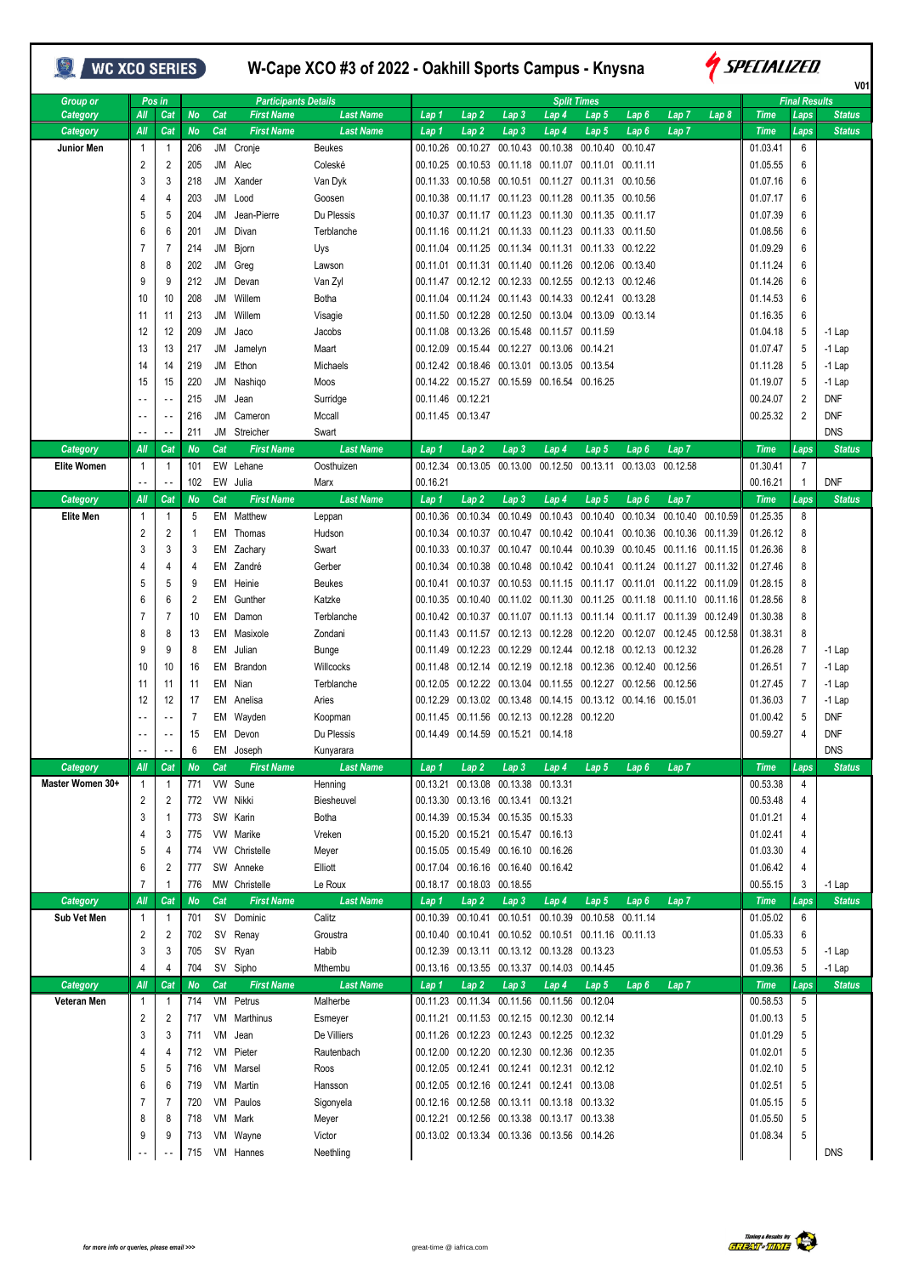## **WE XCO SERIES**

## **W-Cape XCO #3 of 2022 - Oakhill Sports Campus - Knysna**



|                    |                          |                            |                |     |                             |                  |          |                            |                                                  |                   |                                                                      |                            |                  |                            |             |                      | V01           |
|--------------------|--------------------------|----------------------------|----------------|-----|-----------------------------|------------------|----------|----------------------------|--------------------------------------------------|-------------------|----------------------------------------------------------------------|----------------------------|------------------|----------------------------|-------------|----------------------|---------------|
| Group or           |                          | Pos in                     |                |     | <b>Participants Details</b> |                  |          |                            |                                                  |                   | <b>Split Times</b>                                                   |                            |                  |                            |             | <b>Final Results</b> |               |
| Category           | Аll                      | Cat                        | <b>No</b>      | Cat | <b>First Name</b>           | <b>Last Name</b> | Lap 1    | Lap 2                      | Lap 3                                            | Lap 4             | Lap 5                                                                | Lap 6                      | Lap 7            | Lap 8                      | <b>Time</b> | Laps                 | <b>Status</b> |
| Category           | All                      | Cat                        | <b>No</b>      | Cat | <b>First Name</b>           | <b>Last Name</b> | Lap 1    | Lap2                       | Lap <sub>3</sub>                                 | Lap 4             | Lap 5                                                                | Lap <sub>6</sub>           | Lap <sub>7</sub> |                            | <b>Time</b> | Laps                 | <b>Status</b> |
| <b>Junior Men</b>  | 1                        | $\overline{1}$             | 206            |     | JM Cronje                   | <b>Beukes</b>    | 00.10.26 | 00.10.27                   | 00.10.43                                         | 00.10.38          | 00.10.40                                                             | 00.10.47                   |                  |                            | 01.03.41    | 6                    |               |
|                    | 2                        | 2                          | 205            |     | JM Alec                     | Coleské          | 00.10.25 | 00.10.53                   |                                                  | 00.11.18 00.11.07 | 00.11.01                                                             | 00.11.11                   |                  |                            | 01.05.55    | 6                    |               |
|                    | 3                        | 3                          | 218            | JM  | Xander                      | Van Dyk          |          |                            | 00.11.33 00.10.58 00.10.51 00.11.27              |                   | 00.11.31                                                             | 00.10.56                   |                  |                            | 01.07.16    | 6                    |               |
|                    | 4                        | 4                          | 203            | JM  | Lood                        | Goosen           |          |                            | 00.10.38 00.11.17 00.11.23 00.11.28              |                   | 00.11.35                                                             | 00.10.56                   |                  |                            | 01.07.17    | 6                    |               |
|                    | 5                        | 5                          | 204            | JM  | Jean-Pierre                 | Du Plessis       |          |                            |                                                  |                   | 00.10.37 00.11.17 00.11.23 00.11.30 00.11.35                         | 00.11.17                   |                  |                            | 01.07.39    | 6                    |               |
|                    | 6                        | 6                          | 201            | JM  | Divan                       | Terblanche       |          |                            |                                                  |                   | 00.11.16  00.11.21  00.11.33  00.11.23  00.11.33  00.11.50           |                            |                  |                            | 01.08.56    | 6                    |               |
|                    | 7                        | 7                          | 214            | JM  | Bjorn                       | Uys              |          |                            |                                                  |                   | 00.11.04  00.11.25  00.11.34  00.11.31  00.11.33  00.12.22           |                            |                  |                            | 01.09.29    | 6                    |               |
|                    | 8                        | 8                          | 202            | JM  | Greg                        | Lawson           |          |                            | 00.11.01 00.11.31 00.11.40 00.11.26              |                   | 00.12.06                                                             | 00.13.40                   |                  |                            | 01.11.24    | 6                    |               |
|                    | 9                        | 9                          | 212            | JM  | Devan                       | Van Zyl          |          |                            |                                                  |                   | 00.11.47  00.12.12  00.12.33  00.12.55  00.12.13  00.12.46           |                            |                  |                            | 01.14.26    | 6                    |               |
|                    | 10                       | 10                         | 208            | JM  | Willem                      | Botha            |          |                            | 00.11.04 00.11.24 00.11.43 00.14.33              |                   | 00.12.41                                                             | 00.13.28                   |                  |                            | 01.14.53    | 6                    |               |
|                    | 11                       | 11                         | 213            | JM  | Willem                      | Visagie          | 00.11.50 |                            |                                                  |                   | 00.12.28 00.12.50 00.13.04 00.13.09 00.13.14                         |                            |                  |                            | 01.16.35    | 6                    |               |
|                    | 12                       | 12                         | 209            | JM  | Jaco                        | Jacobs           |          |                            | 00.11.08  00.13.26  00.15.48  00.11.57  00.11.59 |                   |                                                                      |                            |                  |                            | 01.04.18    | 5                    | $-1$ Lap      |
|                    | 13                       | 13                         | 217            | JM  | Jamelyn                     | Maart            |          |                            | 00.12.09  00.15.44  00.12.27  00.13.06  00.14.21 |                   |                                                                      |                            |                  |                            | 01.07.47    | 5                    | $-1$ Lap      |
|                    | 14                       | 14                         | 219            |     | JM Ethon                    | Michaels         |          |                            | 00.12.42 00.18.46 00.13.01 00.13.05 00.13.54     |                   |                                                                      |                            |                  |                            | 01.11.28    | 5                    | $-1$ Lap      |
|                    | 15                       | 15                         | 220            | JM  | Nashiqo                     | Moos             |          |                            | 00.14.22 00.15.27 00.15.59 00.16.54 00.16.25     |                   |                                                                      |                            |                  |                            | 01.19.07    | 5                    | $-1$ Lap      |
|                    |                          | $\overline{\phantom{a}}$ . | 215            | JM  | Jean                        | Surridge         |          | 00.11.46 00.12.21          |                                                  |                   |                                                                      |                            |                  |                            | 00.24.07    | $\overline{2}$       | <b>DNF</b>    |
|                    |                          | $\overline{\phantom{a}}$ . | 216            | JM  | Cameron                     | Mccall           |          | 00.11.45 00.13.47          |                                                  |                   |                                                                      |                            |                  |                            | 00.25.32    | 2                    | <b>DNF</b>    |
|                    | $\overline{\phantom{a}}$ | $\sim$ $\sim$              | 211            |     | JM Streicher                | Swart            |          |                            |                                                  |                   |                                                                      |                            |                  |                            |             |                      | <b>DNS</b>    |
|                    | All                      | Cat                        | <b>No</b>      | Cat | <b>First Name</b>           | <b>Last Name</b> |          |                            |                                                  |                   |                                                                      |                            |                  |                            | <b>Time</b> | Laps                 | <b>Status</b> |
| <b>Category</b>    |                          |                            |                |     |                             |                  | Lap 1    | Lap <sub>2</sub>           | Lap <sub>3</sub>                                 | Lap 4             | Lap <sub>5</sub>                                                     | Lap <sub>6</sub>           | Lap <sub>7</sub> |                            |             |                      |               |
| <b>Elite Women</b> | $\mathbf{1}$             | $\overline{1}$             | 101            |     | EW Lehane                   | Oosthuizen       | 00.12.34 | 00.13.05                   |                                                  |                   | 00.13.00 00.12.50 00.13.11 00.13.03 00.12.58                         |                            |                  |                            | 01.30.41    | $\overline{7}$       |               |
|                    | $\sim$ $\sim$            | $\sim$ $\sim$              | 102            |     | EW Julia                    | Marx             | 00.16.21 |                            |                                                  |                   |                                                                      |                            |                  |                            | 00.16.21    | $\mathbf{1}$         | <b>DNF</b>    |
| <b>Category</b>    | All                      | Cat                        | <b>No</b>      | Cat | <b>First Name</b>           | <b>Last Name</b> | Lap 1    | Lap <sub>2</sub>           | Lap <sub>3</sub>                                 | Lap 4             | Lap 5                                                                | Lap <sub>6</sub>           | Lap <sub>7</sub> |                            | <b>Time</b> | Laps                 | <b>Status</b> |
| <b>Elite Men</b>   | 1                        | $\overline{1}$             | 5              | EM  | Matthew                     | Leppan           | 00.10.36 | 00.10.34                   | 00.10.49                                         | 00.10.43          | 00.10.40                                                             | 00.10.34                   | 00.10.40         | 00.10.59                   | 01.25.35    | 8                    |               |
|                    | 2                        | 2                          | 1              |     | EM Thomas                   | Hudson           | 00.10.34 | 00.10.37                   |                                                  |                   | 00.10.47  00.10.42  00.10.41  00.10.36  00.10.36  00.11.39           |                            |                  |                            | 01.26.12    | 8                    |               |
|                    | 3                        | 3                          | 3              |     | EM Zachary                  | Swart            |          | 00.10.33 00.10.37          |                                                  | 00.10.47 00.10.44 | 00.10.39                                                             | 00.10.45 00.11.16 00.11.15 |                  |                            | 01.26.36    | 8                    |               |
|                    | 4                        | 4                          | 4              |     | EM Zandré                   | Gerber           |          | 00.10.34 00.10.38          |                                                  |                   | 00.10.48  00.10.42  00.10.41  00.11.24  00.11.27  00.11.32           |                            |                  |                            | 01.27.46    | 8                    |               |
|                    | 5                        | 5                          | 9              |     | EM Heinie                   | <b>Beukes</b>    | 00.10.41 | 00.10.37                   | 00.10.53 00.11.15                                |                   | 00.11.17                                                             |                            |                  | 00.11.01 00.11.22 00.11.09 | 01.28.15    | 8                    |               |
|                    | 6                        | 6                          | $\overline{2}$ | EM  | Gunther                     | Katzke           |          |                            | 00.10.35 00.10.40 00.11.02 00.11.30              |                   | 00.11.25                                                             |                            |                  | 00.11.18 00.11.10 00.11.16 | 01.28.56    | 8                    |               |
|                    | 7                        | 7                          | 10             | EM  | Damon                       | Terblanche       |          | 00.10.42 00.10.37          |                                                  | 00.11.07 00.11.13 | 00.11.14                                                             |                            |                  | 00.11.17 00.11.39 00.12.49 | 01.30.38    | 8                    |               |
|                    | 8                        | 8                          | 13             |     | EM Masixole                 | Zondani          |          | 00.11.43 00.11.57          |                                                  | 00.12.13 00.12.28 | 00.12.20 00.12.07 00.12.45 00.12.58                                  |                            |                  |                            | 01.38.31    | 8                    |               |
|                    | 9                        | 9                          | 8              | EM  | Julian                      | Bunge            |          |                            |                                                  |                   | 00.11.49  00.12.23  00.12.29  00.12.44  00.12.18  00.12.13  00.12.32 |                            |                  |                            | 01.26.28    | $\overline{7}$       | $-1$ Lap      |
|                    | 10                       | 10                         | 16             | EM  | Brandon                     | Willcocks        |          |                            | 00.11.48 00.12.14 00.12.19 00.12.18              |                   | 00.12.36                                                             | 00.12.40 00.12.56          |                  |                            | 01.26.51    | $\overline{7}$       | $-1$ Lap      |
|                    | 11                       | 11                         | 11             | EM  | Nian                        | Terblanche       |          |                            |                                                  |                   | 00.12.05  00.12.22  00.13.04  00.11.55  00.12.27  00.12.56  00.12.56 |                            |                  |                            | 01.27.45    | $\overline{7}$       | $-1$ Lap      |
|                    | 12                       | 12                         | 17             | EM  | Anelisa                     | Aries            | 00.12.29 |                            |                                                  |                   | 00.13.02 00.13.48 00.14.15 00.13.12 00.14.16 00.15.01                |                            |                  |                            | 01.36.03    | $\overline{7}$       | $-1$ Lap      |
|                    |                          | $\overline{\phantom{a}}$ . | 7              | EM  | Wayden                      | Koopman          | 00.11.45 |                            | 00.11.56 00.12.13 00.12.28 00.12.20              |                   |                                                                      |                            |                  |                            | 01.00.42    | 5                    | <b>DNF</b>    |
|                    |                          | $\overline{\phantom{a}}$   | 15             | EM  | Devon                       | Du Plessis       | 00.14.49 |                            | 00.14.59 00.15.21 00.14.18                       |                   |                                                                      |                            |                  |                            | 00.59.27    | 4                    | <b>DNF</b>    |
|                    | $\overline{a}$           | $\overline{\phantom{a}}$   | 6              |     | EM Joseph                   | Kunyarara        |          |                            |                                                  |                   |                                                                      |                            |                  |                            |             |                      | <b>DNS</b>    |
| Category           | All                      | Cat                        | <b>No</b>      | Cat | <b>First Name</b>           | <b>Last Name</b> | Lap 1    | Lap 2                      | Lap <sub>3</sub>                                 | Lap 4             | Lap 5                                                                | Lap 6                      | Lap 7            |                            | <b>Time</b> | Laps                 | <b>Status</b> |
| Master Women 30+   | 1                        | $\overline{1}$             | 771            |     | VW Sune                     | Henning          | 00.13.21 |                            | 00.13.08 00.13.38 00.13.31                       |                   |                                                                      |                            |                  |                            | 00.53.38    | 4                    |               |
|                    | 2                        | 2                          | 772            |     | VW Nikki                    | Biesheuvel       |          |                            | 00.13.30 00.13.16 00.13.41 00.13.21              |                   |                                                                      |                            |                  |                            | 00.53.48    | 4                    |               |
|                    | 3                        |                            | 773            |     | SW Karin                    | Botha            |          |                            | 00.14.39 00.15.34 00.15.35 00.15.33              |                   |                                                                      |                            |                  |                            | 01.01.21    | 4                    |               |
|                    |                          | $\overline{1}$             |                |     |                             |                  |          |                            |                                                  |                   |                                                                      |                            |                  |                            |             |                      |               |
|                    | 4                        | 3                          | 775            |     | VW Marike                   | Vreken           |          |                            | 00.15.20 00.15.21 00.15.47 00.16.13              |                   |                                                                      |                            |                  |                            | 01.02.41    | 4                    |               |
|                    | 5                        | 4                          | 774            |     | VW Christelle               | Meyer            |          |                            | 00.15.05 00.15.49 00.16.10 00.16.26              |                   |                                                                      |                            |                  |                            | 01.03.30    | 4                    |               |
|                    | 6                        | $\overline{2}$             | 777            |     | SW Anneke                   | Elliott          |          |                            | 00.17.04 00.16.16 00.16.40 00.16.42              |                   |                                                                      |                            |                  |                            | 01.06.42    | 4                    |               |
|                    | $\overline{7}$           | $\overline{1}$             | 776            |     | MW Christelle               | Le Roux          |          | 00.18.17 00.18.03 00.18.55 |                                                  |                   |                                                                      |                            |                  |                            | 00.55.15    | 3                    | $-1$ Lap      |
| Category           | All                      | Cat                        | <b>No</b>      | Cat | <b>First Name</b>           | <b>Last Name</b> | Lap 1    | Lap 2                      | Lap <sub>3</sub>                                 | Lap <sub>4</sub>  | Lap 5                                                                | Lap6                       | Lap <sub>7</sub> |                            | <b>Time</b> | Laps                 | <b>Status</b> |
| Sub Vet Men        | $\mathbf{1}$             | $\overline{1}$             | 701            |     | SV Dominic                  | Calitz           |          |                            |                                                  |                   | 00.10.39  00.10.41  00.10.51  00.10.39  00.10.58  00.11.14           |                            |                  |                            | 01.05.02    | 6                    |               |
|                    | 2                        | 2                          | 702            |     | SV Renay                    | Groustra         |          |                            |                                                  |                   | 00.10.40  00.10.41  00.10.52  00.10.51  00.11.16  00.11.13           |                            |                  |                            | 01.05.33    | 6                    |               |
|                    | 3                        | 3                          | 705            |     | SV Ryan                     | Habib            |          |                            | 00.12.39  00.13.11  00.13.12  00.13.28  00.13.23 |                   |                                                                      |                            |                  |                            | 01.05.53    | 5                    | $-1$ Lap      |
|                    | 4                        | 4                          | 704            |     | SV Sipho                    | Mthembu          |          |                            | 00.13.16 00.13.55 00.13.37 00.14.03 00.14.45     |                   |                                                                      |                            |                  |                            | 01.09.36    | 5                    | $-1$ Lap      |
| Category           | All                      | Cat                        | <b>No</b>      | Cat | <b>First Name</b>           | <b>Last Name</b> | Lap 1    | Lap 2                      | Lap <sub>3</sub>                                 | Lap 4             | Lap 5                                                                | Lap6                       | Lap <sub>7</sub> |                            | <b>Time</b> | Laps                 | <b>Status</b> |
| Veteran Men        | $\mathbf{1}$             | $\overline{1}$             | 714            |     | VM Petrus                   | Malherbe         |          |                            | 00.11.23 00.11.34 00.11.56 00.11.56 00.12.04     |                   |                                                                      |                            |                  |                            | 00.58.53    | 5                    |               |
|                    | 2                        | 2                          | 717            | VM  | Marthinus                   | Esmeyer          |          |                            | 00.11.21 00.11.53 00.12.15 00.12.30 00.12.14     |                   |                                                                      |                            |                  |                            | 01.00.13    | 5                    |               |
|                    | 3                        | 3                          | 711            | VM  | Jean                        | De Villiers      |          |                            | 00.11.26 00.12.23 00.12.43 00.12.25 00.12.32     |                   |                                                                      |                            |                  |                            | 01.01.29    | 5                    |               |
|                    | 4                        | 4                          | 712            |     | VM Pieter                   | Rautenbach       |          |                            | 00.12.00 00.12.20 00.12.30 00.12.36 00.12.35     |                   |                                                                      |                            |                  |                            | 01.02.01    | 5                    |               |
|                    | 5                        | 5                          | 716            |     | VM Marsel                   | Roos             |          |                            | 00.12.05 00.12.41 00.12.41 00.12.31 00.12.12     |                   |                                                                      |                            |                  |                            | 01.02.10    | 5                    |               |
|                    | 6                        | 6                          | 719            |     | VM Martin                   | Hansson          |          |                            | 00.12.05 00.12.16 00.12.41 00.12.41 00.13.08     |                   |                                                                      |                            |                  |                            | 01.02.51    | 5                    |               |
|                    | $\overline{7}$           | 7                          | 720            |     | VM Paulos                   | Sigonyela        |          |                            | 00.12.16 00.12.58 00.13.11 00.13.18 00.13.32     |                   |                                                                      |                            |                  |                            | 01.05.15    | 5                    |               |
|                    | 8                        | 8                          | 718            |     | VM Mark                     | Meyer            |          |                            | 00.12.21 00.12.56 00.13.38 00.13.17 00.13.38     |                   |                                                                      |                            |                  |                            | 01.05.50    | 5                    |               |
|                    | 9                        | 9                          | 713            |     | VM Wayne                    | Victor           |          |                            | 00.13.02 00.13.34 00.13.36 00.13.56 00.14.26     |                   |                                                                      |                            |                  |                            | 01.08.34    | 5                    |               |
|                    |                          |                            | 715            |     | VM Hannes                   | Neethling        |          |                            |                                                  |                   |                                                                      |                            |                  |                            |             |                      | <b>DNS</b>    |
|                    |                          |                            |                |     |                             |                  |          |                            |                                                  |                   |                                                                      |                            |                  |                            |             |                      |               |